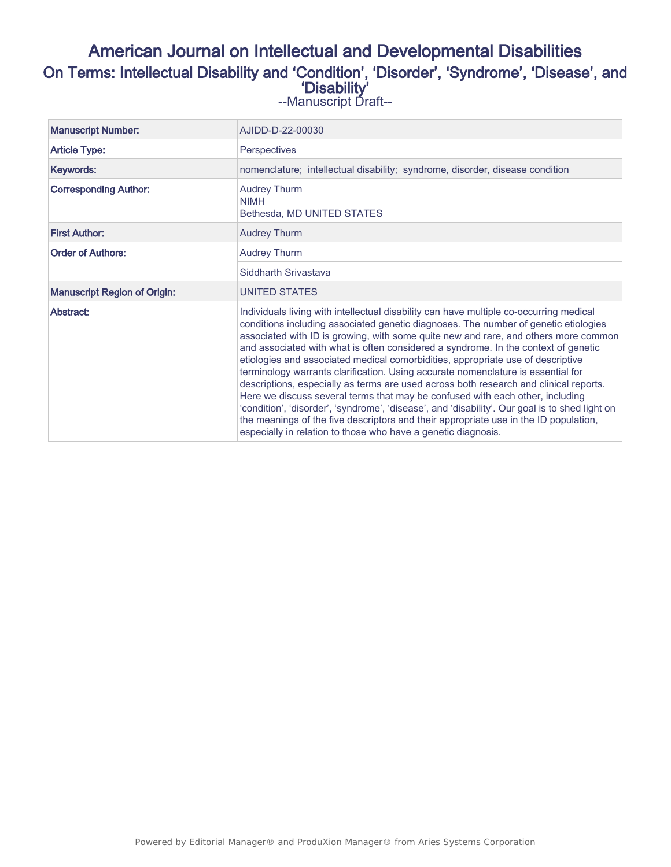# American Journal on Intellectual and Developmental Disabilities On Terms: Intellectual Disability and 'Condition', 'Disorder', 'Syndrome', 'Disease', and 'Disability'

--Manuscript Draft--

| <b>Manuscript Number:</b>           | AJIDD-D-22-00030                                                                                                                                                                                                                                                                                                                                                                                                                                                                                                                                                                                                                                                                                                                                                                                                                                                                                                                                                       |  |  |  |
|-------------------------------------|------------------------------------------------------------------------------------------------------------------------------------------------------------------------------------------------------------------------------------------------------------------------------------------------------------------------------------------------------------------------------------------------------------------------------------------------------------------------------------------------------------------------------------------------------------------------------------------------------------------------------------------------------------------------------------------------------------------------------------------------------------------------------------------------------------------------------------------------------------------------------------------------------------------------------------------------------------------------|--|--|--|
| <b>Article Type:</b>                | <b>Perspectives</b>                                                                                                                                                                                                                                                                                                                                                                                                                                                                                                                                                                                                                                                                                                                                                                                                                                                                                                                                                    |  |  |  |
| Keywords:                           | nomenclature; intellectual disability; syndrome, disorder, disease condition                                                                                                                                                                                                                                                                                                                                                                                                                                                                                                                                                                                                                                                                                                                                                                                                                                                                                           |  |  |  |
| <b>Corresponding Author:</b>        | <b>Audrey Thurm</b><br><b>NIMH</b><br>Bethesda, MD UNITED STATES                                                                                                                                                                                                                                                                                                                                                                                                                                                                                                                                                                                                                                                                                                                                                                                                                                                                                                       |  |  |  |
| <b>First Author:</b>                | <b>Audrey Thurm</b>                                                                                                                                                                                                                                                                                                                                                                                                                                                                                                                                                                                                                                                                                                                                                                                                                                                                                                                                                    |  |  |  |
| <b>Order of Authors:</b>            | <b>Audrey Thurm</b>                                                                                                                                                                                                                                                                                                                                                                                                                                                                                                                                                                                                                                                                                                                                                                                                                                                                                                                                                    |  |  |  |
|                                     | Siddharth Srivastava                                                                                                                                                                                                                                                                                                                                                                                                                                                                                                                                                                                                                                                                                                                                                                                                                                                                                                                                                   |  |  |  |
| <b>Manuscript Region of Origin:</b> | <b>UNITED STATES</b>                                                                                                                                                                                                                                                                                                                                                                                                                                                                                                                                                                                                                                                                                                                                                                                                                                                                                                                                                   |  |  |  |
| Abstract:                           | Individuals living with intellectual disability can have multiple co-occurring medical<br>conditions including associated genetic diagnoses. The number of genetic etiologies<br>associated with ID is growing, with some quite new and rare, and others more common<br>and associated with what is often considered a syndrome. In the context of genetic<br>etiologies and associated medical comorbidities, appropriate use of descriptive<br>terminology warrants clarification. Using accurate nomenclature is essential for<br>descriptions, especially as terms are used across both research and clinical reports.<br>Here we discuss several terms that may be confused with each other, including<br>'condition', 'disorder', 'syndrome', 'disease', and 'disability'. Our goal is to shed light on<br>the meanings of the five descriptors and their appropriate use in the ID population,<br>especially in relation to those who have a genetic diagnosis. |  |  |  |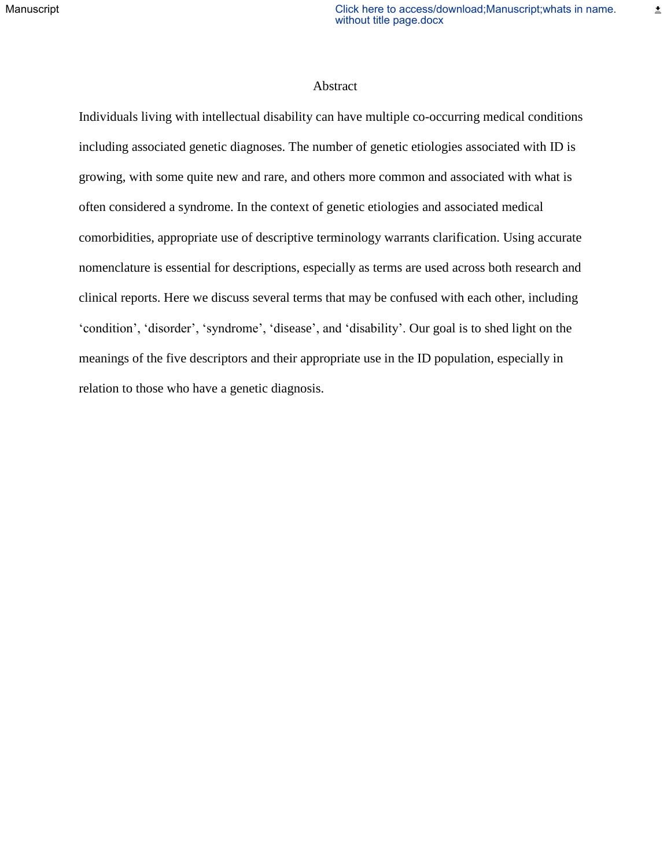主

## Abstract

Individuals living with intellectual disability can have multiple co-occurring medical conditions including associated genetic diagnoses. The number of genetic etiologies associated with ID is growing, with some quite new and rare, and others more common and associated with what is often considered a syndrome. In the context of genetic etiologies and associated medical comorbidities, appropriate use of descriptive terminology warrants clarification. Using accurate nomenclature is essential for descriptions, especially as terms are used across both research and clinical reports. Here we discuss several terms that may be confused with each other, including 'condition', 'disorder', 'syndrome', 'disease', and 'disability'. Our goal is to shed light on the meanings of the five descriptors and their appropriate use in the ID population, especially in relation to those who have a genetic diagnosis.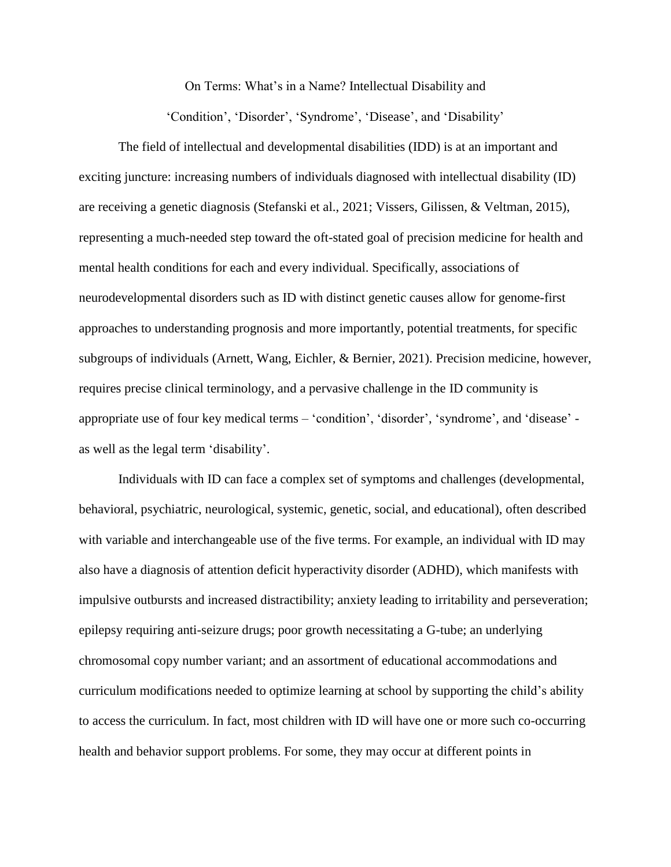On Terms: What's in a Name? Intellectual Disability and

'Condition', 'Disorder', 'Syndrome', 'Disease', and 'Disability'

The field of intellectual and developmental disabilities (IDD) is at an important and exciting juncture: increasing numbers of individuals diagnosed with intellectual disability (ID) are receiving a genetic diagnosis (Stefanski et al., 2021; Vissers, Gilissen, & Veltman, 2015), representing a much-needed step toward the oft-stated goal of precision medicine for health and mental health conditions for each and every individual. Specifically, associations of neurodevelopmental disorders such as ID with distinct genetic causes allow for genome-first approaches to understanding prognosis and more importantly, potential treatments, for specific subgroups of individuals (Arnett, Wang, Eichler, & Bernier, 2021). Precision medicine, however, requires precise clinical terminology, and a pervasive challenge in the ID community is appropriate use of four key medical terms – 'condition', 'disorder', 'syndrome', and 'disease' as well as the legal term 'disability'.

Individuals with ID can face a complex set of symptoms and challenges (developmental, behavioral, psychiatric, neurological, systemic, genetic, social, and educational), often described with variable and interchangeable use of the five terms. For example, an individual with ID may also have a diagnosis of attention deficit hyperactivity disorder (ADHD), which manifests with impulsive outbursts and increased distractibility; anxiety leading to irritability and perseveration; epilepsy requiring anti-seizure drugs; poor growth necessitating a G-tube; an underlying chromosomal copy number variant; and an assortment of educational accommodations and curriculum modifications needed to optimize learning at school by supporting the child's ability to access the curriculum. In fact, most children with ID will have one or more such co-occurring health and behavior support problems. For some, they may occur at different points in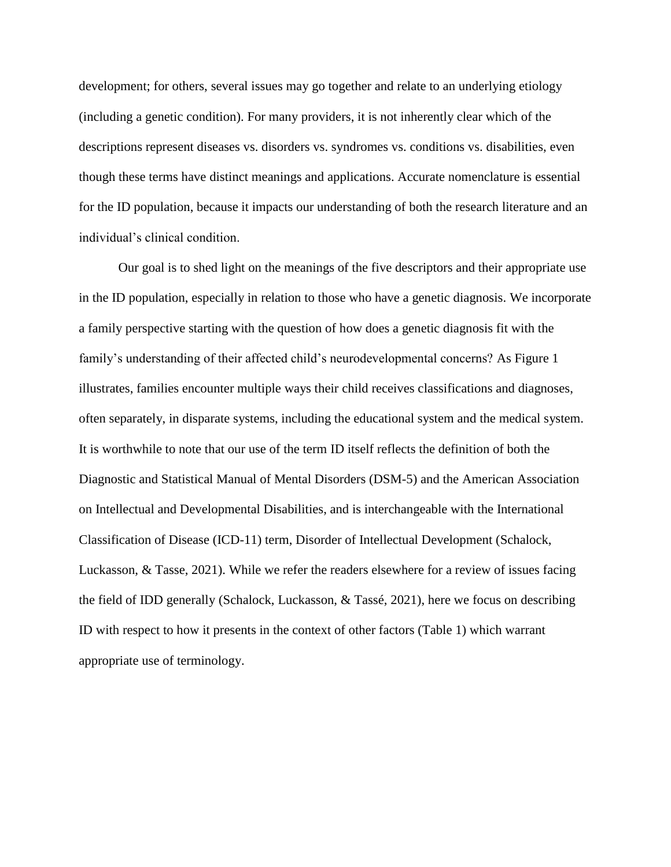development; for others, several issues may go together and relate to an underlying etiology (including a genetic condition). For many providers, it is not inherently clear which of the descriptions represent diseases vs. disorders vs. syndromes vs. conditions vs. disabilities, even though these terms have distinct meanings and applications. Accurate nomenclature is essential for the ID population, because it impacts our understanding of both the research literature and an individual's clinical condition.

Our goal is to shed light on the meanings of the five descriptors and their appropriate use in the ID population, especially in relation to those who have a genetic diagnosis. We incorporate a family perspective starting with the question of how does a genetic diagnosis fit with the family's understanding of their affected child's neurodevelopmental concerns? As Figure 1 illustrates, families encounter multiple ways their child receives classifications and diagnoses, often separately, in disparate systems, including the educational system and the medical system. It is worthwhile to note that our use of the term ID itself reflects the definition of both the Diagnostic and Statistical Manual of Mental Disorders (DSM-5) and the American Association on Intellectual and Developmental Disabilities, and is interchangeable with the International Classification of Disease (ICD-11) term, Disorder of Intellectual Development (Schalock, Luckasson, & Tasse, 2021). While we refer the readers elsewhere for a review of issues facing the field of IDD generally (Schalock, Luckasson, & Tassé, 2021), here we focus on describing ID with respect to how it presents in the context of other factors (Table 1) which warrant appropriate use of terminology.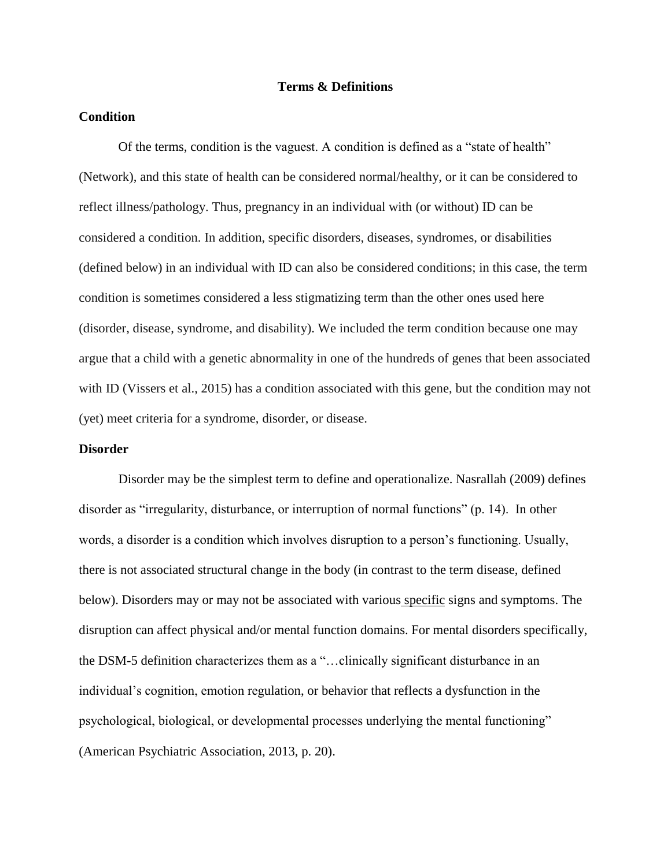## **Terms & Definitions**

## **Condition**

Of the terms, condition is the vaguest. A condition is defined as a "state of health" (Network), and this state of health can be considered normal/healthy, or it can be considered to reflect illness/pathology. Thus, pregnancy in an individual with (or without) ID can be considered a condition. In addition, specific disorders, diseases, syndromes, or disabilities (defined below) in an individual with ID can also be considered conditions; in this case, the term condition is sometimes considered a less stigmatizing term than the other ones used here (disorder, disease, syndrome, and disability). We included the term condition because one may argue that a child with a genetic abnormality in one of the hundreds of genes that been associated with ID (Vissers et al., 2015) has a condition associated with this gene, but the condition may not (yet) meet criteria for a syndrome, disorder, or disease.

#### **Disorder**

Disorder may be the simplest term to define and operationalize. Nasrallah (2009) defines disorder as "irregularity, disturbance, or interruption of normal functions" (p. 14). In other words, a disorder is a condition which involves disruption to a person's functioning. Usually, there is not associated structural change in the body (in contrast to the term disease, defined below). Disorders may or may not be associated with various specific signs and symptoms. The disruption can affect physical and/or mental function domains. For mental disorders specifically, the DSM-5 definition characterizes them as a "…clinically significant disturbance in an individual's cognition, emotion regulation, or behavior that reflects a dysfunction in the psychological, biological, or developmental processes underlying the mental functioning" (American Psychiatric Association, 2013, p. 20).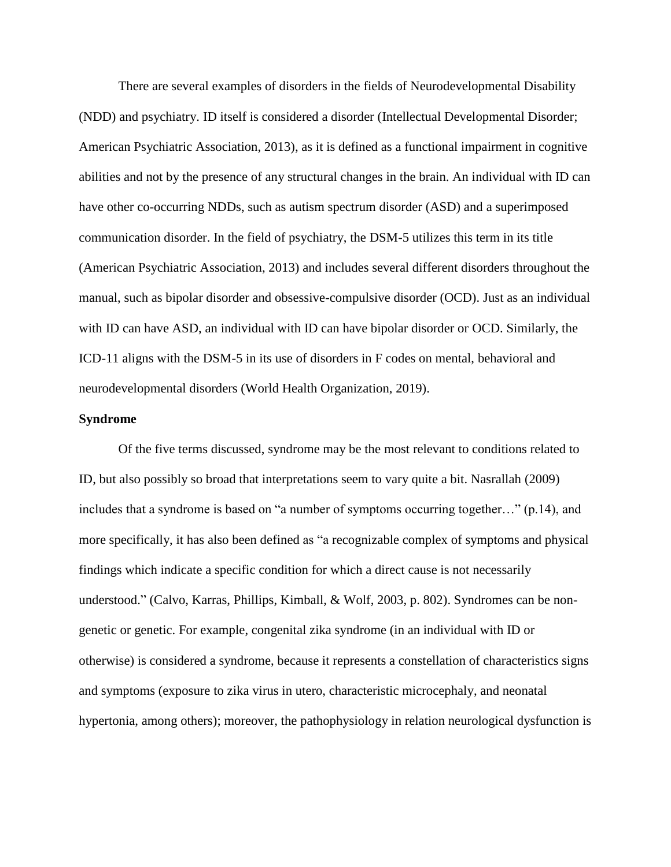There are several examples of disorders in the fields of Neurodevelopmental Disability (NDD) and psychiatry. ID itself is considered a disorder (Intellectual Developmental Disorder; American Psychiatric Association, 2013), as it is defined as a functional impairment in cognitive abilities and not by the presence of any structural changes in the brain. An individual with ID can have other co-occurring NDDs, such as autism spectrum disorder (ASD) and a superimposed communication disorder. In the field of psychiatry, the DSM-5 utilizes this term in its title (American Psychiatric Association, 2013) and includes several different disorders throughout the manual, such as bipolar disorder and obsessive-compulsive disorder (OCD). Just as an individual with ID can have ASD, an individual with ID can have bipolar disorder or OCD. Similarly, the ICD-11 aligns with the DSM-5 in its use of disorders in F codes on mental, behavioral and neurodevelopmental disorders (World Health Organization, 2019).

## **Syndrome**

Of the five terms discussed, syndrome may be the most relevant to conditions related to ID, but also possibly so broad that interpretations seem to vary quite a bit. Nasrallah (2009) includes that a syndrome is based on "a number of symptoms occurring together…" (p.14), and more specifically, it has also been defined as "a recognizable complex of symptoms and physical findings which indicate a specific condition for which a direct cause is not necessarily understood." (Calvo, Karras, Phillips, Kimball, & Wolf, 2003, p. 802). Syndromes can be nongenetic or genetic. For example, congenital zika syndrome (in an individual with ID or otherwise) is considered a syndrome, because it represents a constellation of characteristics signs and symptoms (exposure to zika virus in utero, characteristic microcephaly, and neonatal hypertonia, among others); moreover, the pathophysiology in relation neurological dysfunction is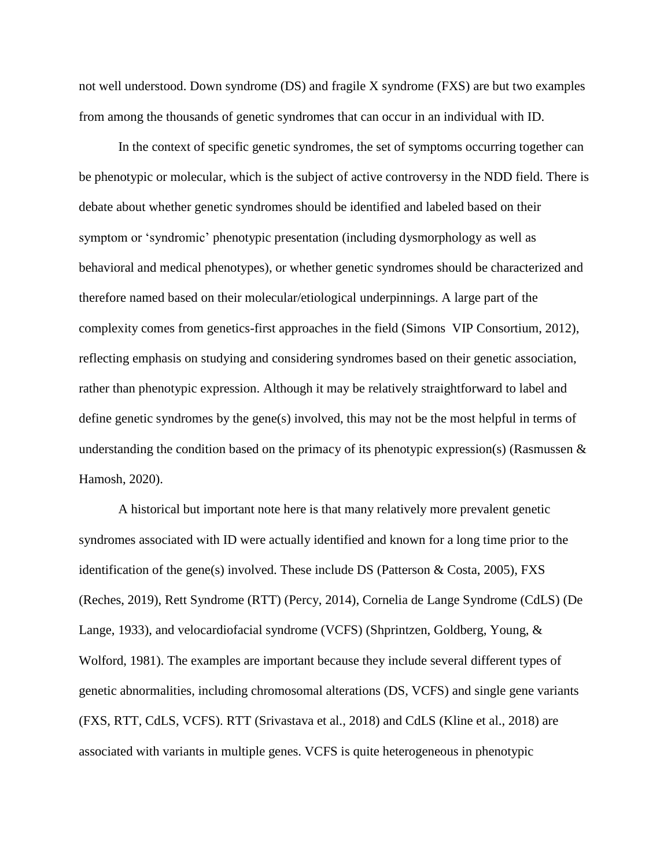not well understood. Down syndrome (DS) and fragile X syndrome (FXS) are but two examples from among the thousands of genetic syndromes that can occur in an individual with ID.

In the context of specific genetic syndromes, the set of symptoms occurring together can be phenotypic or molecular, which is the subject of active controversy in the NDD field. There is debate about whether genetic syndromes should be identified and labeled based on their symptom or 'syndromic' phenotypic presentation (including dysmorphology as well as behavioral and medical phenotypes), or whether genetic syndromes should be characterized and therefore named based on their molecular/etiological underpinnings. A large part of the complexity comes from genetics-first approaches in the field (Simons VIP Consortium, 2012), reflecting emphasis on studying and considering syndromes based on their genetic association, rather than phenotypic expression. Although it may be relatively straightforward to label and define genetic syndromes by the gene(s) involved, this may not be the most helpful in terms of understanding the condition based on the primacy of its phenotypic expression(s) (Rasmussen  $\&$ Hamosh, 2020).

A historical but important note here is that many relatively more prevalent genetic syndromes associated with ID were actually identified and known for a long time prior to the identification of the gene(s) involved. These include DS (Patterson & Costa, 2005), FXS (Reches, 2019), Rett Syndrome (RTT) (Percy, 2014), Cornelia de Lange Syndrome (CdLS) (De Lange, 1933), and velocardiofacial syndrome (VCFS) (Shprintzen, Goldberg, Young, & Wolford, 1981). The examples are important because they include several different types of genetic abnormalities, including chromosomal alterations (DS, VCFS) and single gene variants (FXS, RTT, CdLS, VCFS). RTT (Srivastava et al., 2018) and CdLS (Kline et al., 2018) are associated with variants in multiple genes. VCFS is quite heterogeneous in phenotypic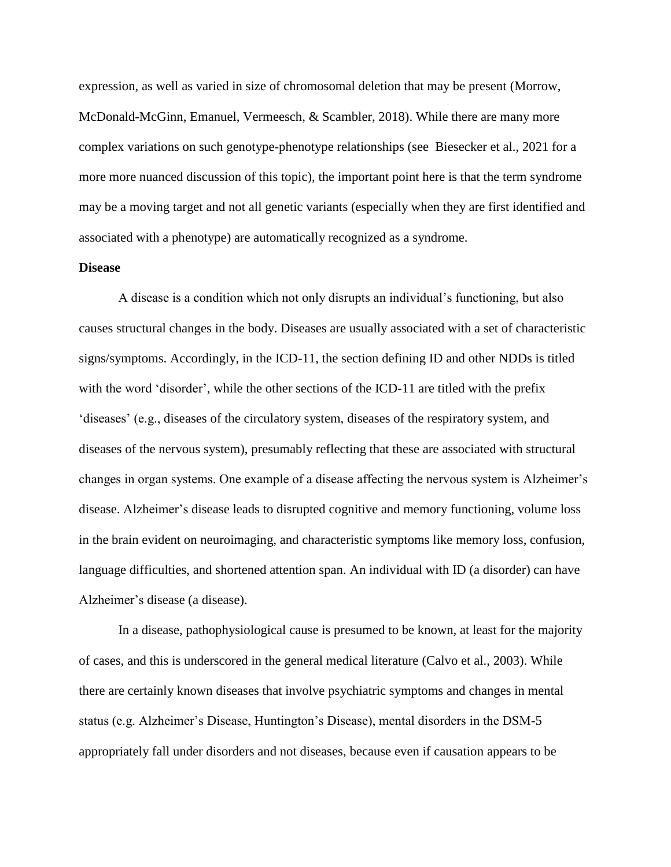expression, as well as varied in size of chromosomal deletion that may be present (Morrow, McDonald-McGinn, Emanuel, Vermeesch, & Scambler, 2018). While there are many more complex variations on such genotype-phenotype relationships (see Biesecker et al., 2021 for a more more nuanced discussion of this topic), the important point here is that the term syndrome may be a moving target and not all genetic variants (especially when they are first identified and associated with a phenotype) are automatically recognized as a syndrome.

## **Disease**

A disease is a condition which not only disrupts an individual's functioning, but also causes structural changes in the body. Diseases are usually associated with a set of characteristic signs/symptoms. Accordingly, in the ICD-11, the section defining ID and other NDDs is titled with the word 'disorder', while the other sections of the ICD-11 are titled with the prefix 'diseases' (e.g., diseases of the circulatory system, diseases of the respiratory system, and diseases of the nervous system), presumably reflecting that these are associated with structural changes in organ systems. One example of a disease affecting the nervous system is Alzheimer's disease. Alzheimer's disease leads to disrupted cognitive and memory functioning, volume loss in the brain evident on neuroimaging, and characteristic symptoms like memory loss, confusion, language difficulties, and shortened attention span. An individual with ID (a disorder) can have Alzheimer's disease (a disease).

In a disease, pathophysiological cause is presumed to be known, at least for the majority of cases, and this is underscored in the general medical literature (Calvo et al., 2003). While there are certainly known diseases that involve psychiatric symptoms and changes in mental status (e.g. Alzheimer's Disease, Huntington's Disease), mental disorders in the DSM-5 appropriately fall under disorders and not diseases, because even if causation appears to be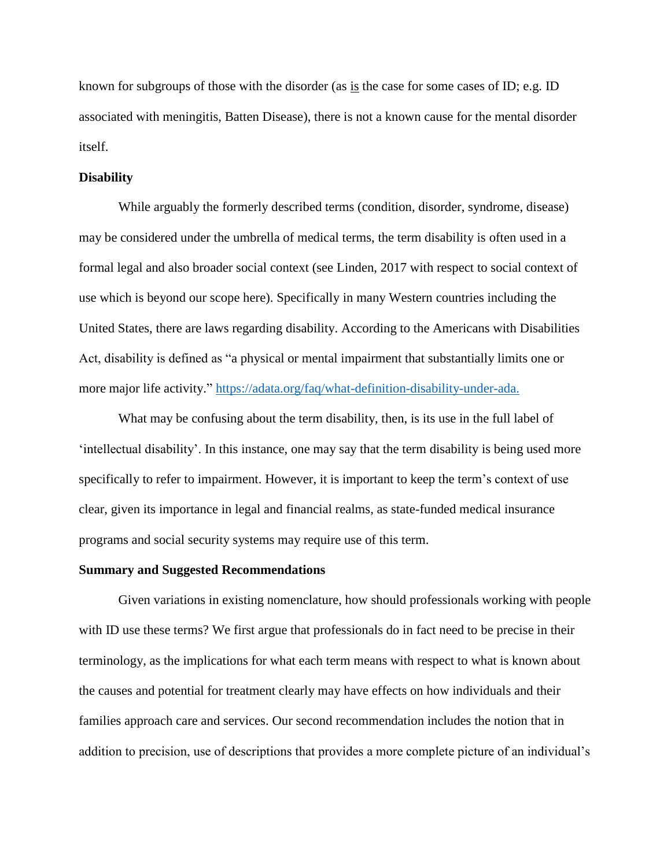known for subgroups of those with the disorder (as is the case for some cases of ID; e.g. ID associated with meningitis, Batten Disease), there is not a known cause for the mental disorder itself.

## **Disability**

While arguably the formerly described terms (condition, disorder, syndrome, disease) may be considered under the umbrella of medical terms, the term disability is often used in a formal legal and also broader social context (see Linden, 2017 with respect to social context of use which is beyond our scope here). Specifically in many Western countries including the United States, there are laws regarding disability. According to the Americans with Disabilities Act, disability is defined as "a physical or mental impairment that substantially limits one or more major life activity." [https://adata.org/faq/what-definition-disability-under-ada.](https://adata.org/faq/what-definition-disability-under-ada)

What may be confusing about the term disability, then, is its use in the full label of 'intellectual disability'. In this instance, one may say that the term disability is being used more specifically to refer to impairment. However, it is important to keep the term's context of use clear, given its importance in legal and financial realms, as state-funded medical insurance programs and social security systems may require use of this term.

#### **Summary and Suggested Recommendations**

Given variations in existing nomenclature, how should professionals working with people with ID use these terms? We first argue that professionals do in fact need to be precise in their terminology, as the implications for what each term means with respect to what is known about the causes and potential for treatment clearly may have effects on how individuals and their families approach care and services. Our second recommendation includes the notion that in addition to precision, use of descriptions that provides a more complete picture of an individual's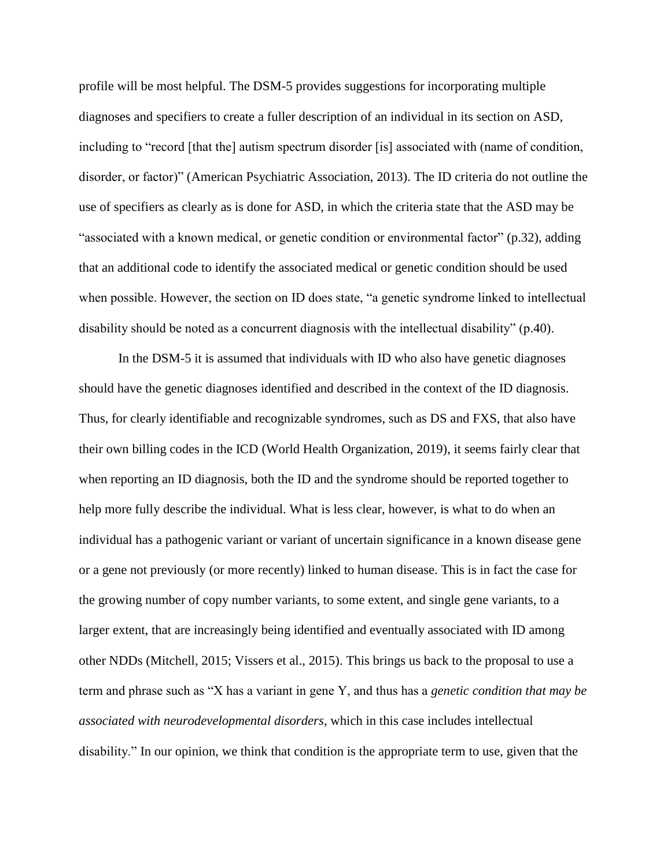profile will be most helpful. The DSM-5 provides suggestions for incorporating multiple diagnoses and specifiers to create a fuller description of an individual in its section on ASD, including to "record [that the] autism spectrum disorder [is] associated with (name of condition, disorder, or factor)" (American Psychiatric Association, 2013). The ID criteria do not outline the use of specifiers as clearly as is done for ASD, in which the criteria state that the ASD may be "associated with a known medical, or genetic condition or environmental factor" (p.32), adding that an additional code to identify the associated medical or genetic condition should be used when possible. However, the section on ID does state, "a genetic syndrome linked to intellectual disability should be noted as a concurrent diagnosis with the intellectual disability" (p.40).

In the DSM-5 it is assumed that individuals with ID who also have genetic diagnoses should have the genetic diagnoses identified and described in the context of the ID diagnosis. Thus, for clearly identifiable and recognizable syndromes, such as DS and FXS, that also have their own billing codes in the ICD (World Health Organization, 2019), it seems fairly clear that when reporting an ID diagnosis, both the ID and the syndrome should be reported together to help more fully describe the individual. What is less clear, however, is what to do when an individual has a pathogenic variant or variant of uncertain significance in a known disease gene or a gene not previously (or more recently) linked to human disease. This is in fact the case for the growing number of copy number variants, to some extent, and single gene variants, to a larger extent, that are increasingly being identified and eventually associated with ID among other NDDs (Mitchell, 2015; Vissers et al., 2015). This brings us back to the proposal to use a term and phrase such as "X has a variant in gene Y, and thus has a *genetic condition that may be associated with neurodevelopmental disorders*, which in this case includes intellectual disability." In our opinion, we think that condition is the appropriate term to use, given that the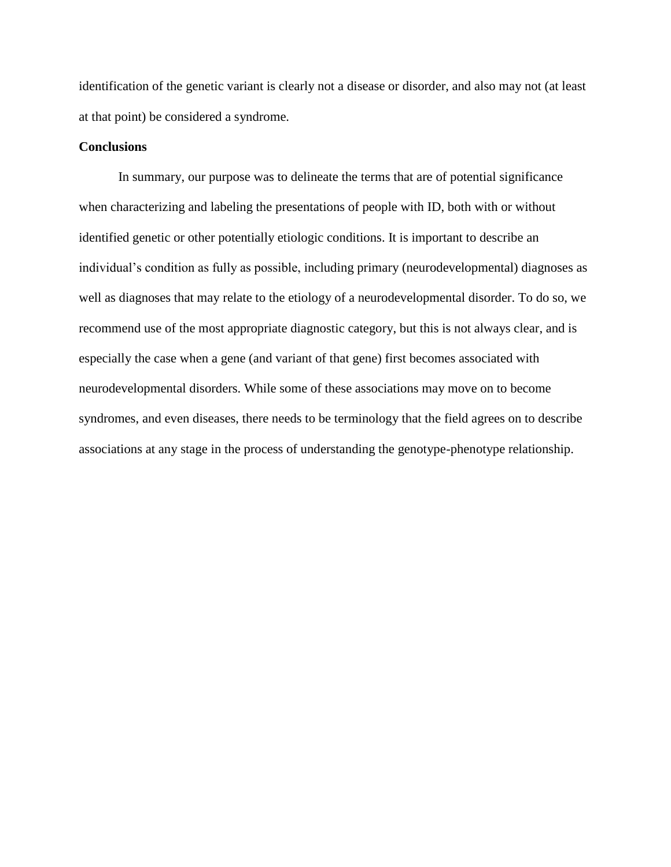identification of the genetic variant is clearly not a disease or disorder, and also may not (at least at that point) be considered a syndrome.

## **Conclusions**

In summary, our purpose was to delineate the terms that are of potential significance when characterizing and labeling the presentations of people with ID, both with or without identified genetic or other potentially etiologic conditions. It is important to describe an individual's condition as fully as possible, including primary (neurodevelopmental) diagnoses as well as diagnoses that may relate to the etiology of a neurodevelopmental disorder. To do so, we recommend use of the most appropriate diagnostic category, but this is not always clear, and is especially the case when a gene (and variant of that gene) first becomes associated with neurodevelopmental disorders. While some of these associations may move on to become syndromes, and even diseases, there needs to be terminology that the field agrees on to describe associations at any stage in the process of understanding the genotype-phenotype relationship.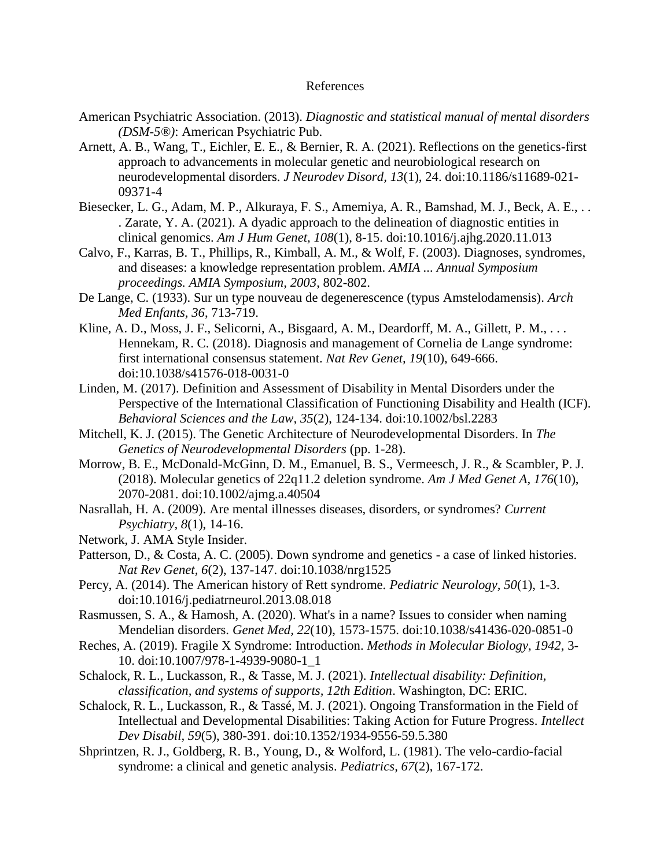#### References

- American Psychiatric Association. (2013). *Diagnostic and statistical manual of mental disorders (DSM-5®)*: American Psychiatric Pub.
- Arnett, A. B., Wang, T., Eichler, E. E., & Bernier, R. A. (2021). Reflections on the genetics-first approach to advancements in molecular genetic and neurobiological research on neurodevelopmental disorders. *J Neurodev Disord, 13*(1), 24. doi:10.1186/s11689-021- 09371-4
- Biesecker, L. G., Adam, M. P., Alkuraya, F. S., Amemiya, A. R., Bamshad, M. J., Beck, A. E., . . . Zarate, Y. A. (2021). A dyadic approach to the delineation of diagnostic entities in clinical genomics. *Am J Hum Genet, 108*(1), 8-15. doi:10.1016/j.ajhg.2020.11.013
- Calvo, F., Karras, B. T., Phillips, R., Kimball, A. M., & Wolf, F. (2003). Diagnoses, syndromes, and diseases: a knowledge representation problem. *AMIA ... Annual Symposium proceedings. AMIA Symposium, 2003*, 802-802.
- De Lange, C. (1933). Sur un type nouveau de degenerescence (typus Amstelodamensis). *Arch Med Enfants, 36*, 713-719.
- Kline, A. D., Moss, J. F., Selicorni, A., Bisgaard, A. M., Deardorff, M. A., Gillett, P. M., . . . Hennekam, R. C. (2018). Diagnosis and management of Cornelia de Lange syndrome: first international consensus statement. *Nat Rev Genet, 19*(10), 649-666. doi:10.1038/s41576-018-0031-0
- Linden, M. (2017). Definition and Assessment of Disability in Mental Disorders under the Perspective of the International Classification of Functioning Disability and Health (ICF). *Behavioral Sciences and the Law, 35*(2), 124-134. doi:10.1002/bsl.2283
- Mitchell, K. J. (2015). The Genetic Architecture of Neurodevelopmental Disorders. In *The Genetics of Neurodevelopmental Disorders* (pp. 1-28).
- Morrow, B. E., McDonald-McGinn, D. M., Emanuel, B. S., Vermeesch, J. R., & Scambler, P. J. (2018). Molecular genetics of 22q11.2 deletion syndrome. *Am J Med Genet A, 176*(10), 2070-2081. doi:10.1002/ajmg.a.40504
- Nasrallah, H. A. (2009). Are mental illnesses diseases, disorders, or syndromes? *Current Psychiatry, 8*(1), 14-16.
- Network, J. AMA Style Insider.
- Patterson, D., & Costa, A. C. (2005). Down syndrome and genetics a case of linked histories. *Nat Rev Genet, 6*(2), 137-147. doi:10.1038/nrg1525
- Percy, A. (2014). The American history of Rett syndrome. *Pediatric Neurology, 50*(1), 1-3. doi:10.1016/j.pediatrneurol.2013.08.018
- Rasmussen, S. A., & Hamosh, A. (2020). What's in a name? Issues to consider when naming Mendelian disorders. *Genet Med, 22*(10), 1573-1575. doi:10.1038/s41436-020-0851-0
- Reches, A. (2019). Fragile X Syndrome: Introduction. *Methods in Molecular Biology, 1942*, 3- 10. doi:10.1007/978-1-4939-9080-1\_1
- Schalock, R. L., Luckasson, R., & Tasse, M. J. (2021). *Intellectual disability: Definition, classification, and systems of supports, 12th Edition*. Washington, DC: ERIC.
- Schalock, R. L., Luckasson, R., & Tassé, M. J. (2021). Ongoing Transformation in the Field of Intellectual and Developmental Disabilities: Taking Action for Future Progress. *Intellect Dev Disabil, 59*(5), 380-391. doi:10.1352/1934-9556-59.5.380
- Shprintzen, R. J., Goldberg, R. B., Young, D., & Wolford, L. (1981). The velo-cardio-facial syndrome: a clinical and genetic analysis. *Pediatrics, 67*(2), 167-172.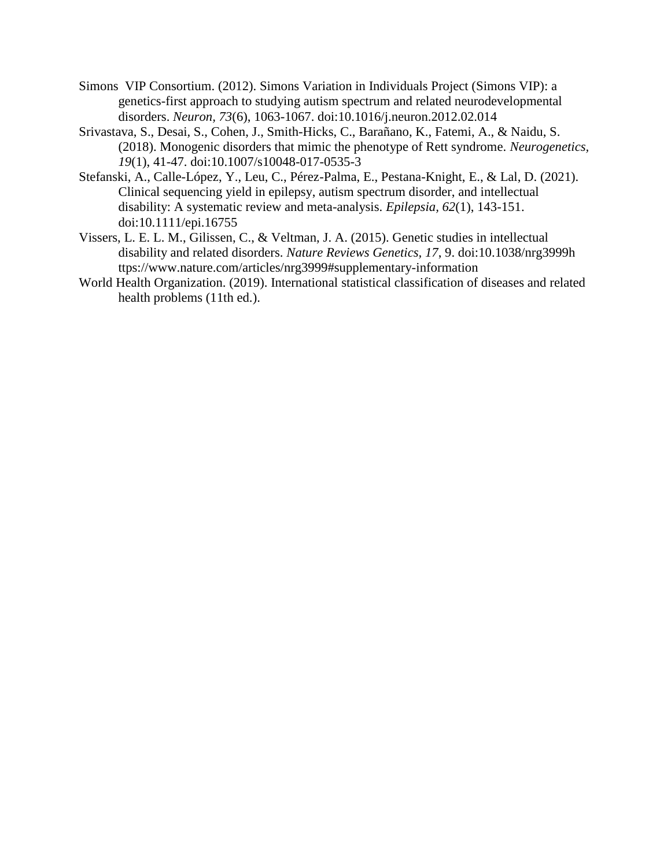- Simons VIP Consortium. (2012). Simons Variation in Individuals Project (Simons VIP): a genetics-first approach to studying autism spectrum and related neurodevelopmental disorders. *Neuron, 73*(6), 1063-1067. doi:10.1016/j.neuron.2012.02.014
- Srivastava, S., Desai, S., Cohen, J., Smith-Hicks, C., Barañano, K., Fatemi, A., & Naidu, S. (2018). Monogenic disorders that mimic the phenotype of Rett syndrome. *Neurogenetics, 19*(1), 41-47. doi:10.1007/s10048-017-0535-3
- Stefanski, A., Calle-López, Y., Leu, C., Pérez-Palma, E., Pestana-Knight, E., & Lal, D. (2021). Clinical sequencing yield in epilepsy, autism spectrum disorder, and intellectual disability: A systematic review and meta-analysis. *Epilepsia, 62*(1), 143-151. doi:10.1111/epi.16755
- Vissers, L. E. L. M., Gilissen, C., & Veltman, J. A. (2015). Genetic studies in intellectual disability and related disorders. *Nature Reviews Genetics, 17*, 9. doi:10.1038/nrg3999h ttps://www.nature.com/articles/nrg3999#supplementary-information
- World Health Organization. (2019). International statistical classification of diseases and related health problems (11th ed.).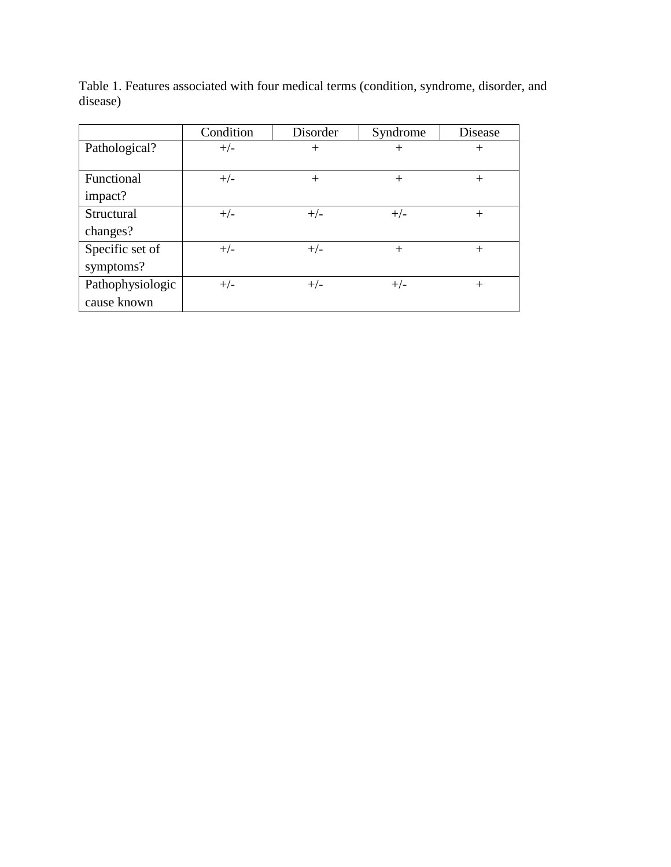|                  | Condition | Disorder | Syndrome | Disease |
|------------------|-----------|----------|----------|---------|
| Pathological?    | $+/-$     | $^{+}$   | $^+$     | $^{+}$  |
|                  |           |          |          |         |
| Functional       | $+/-$     | $^{+}$   | $^{+}$   | $^{+}$  |
| impact?          |           |          |          |         |
| Structural       | $+/-$     | $+/-$    | $+/-$    | $+$     |
| changes?         |           |          |          |         |
| Specific set of  | $+/-$     | $+/-$    | $^{+}$   | $^{+}$  |
| symptoms?        |           |          |          |         |
| Pathophysiologic | $+/-$     | $+/-$    | $+/-$    | $^{+}$  |
| cause known      |           |          |          |         |

Table 1. Features associated with four medical terms (condition, syndrome, disorder, and disease)